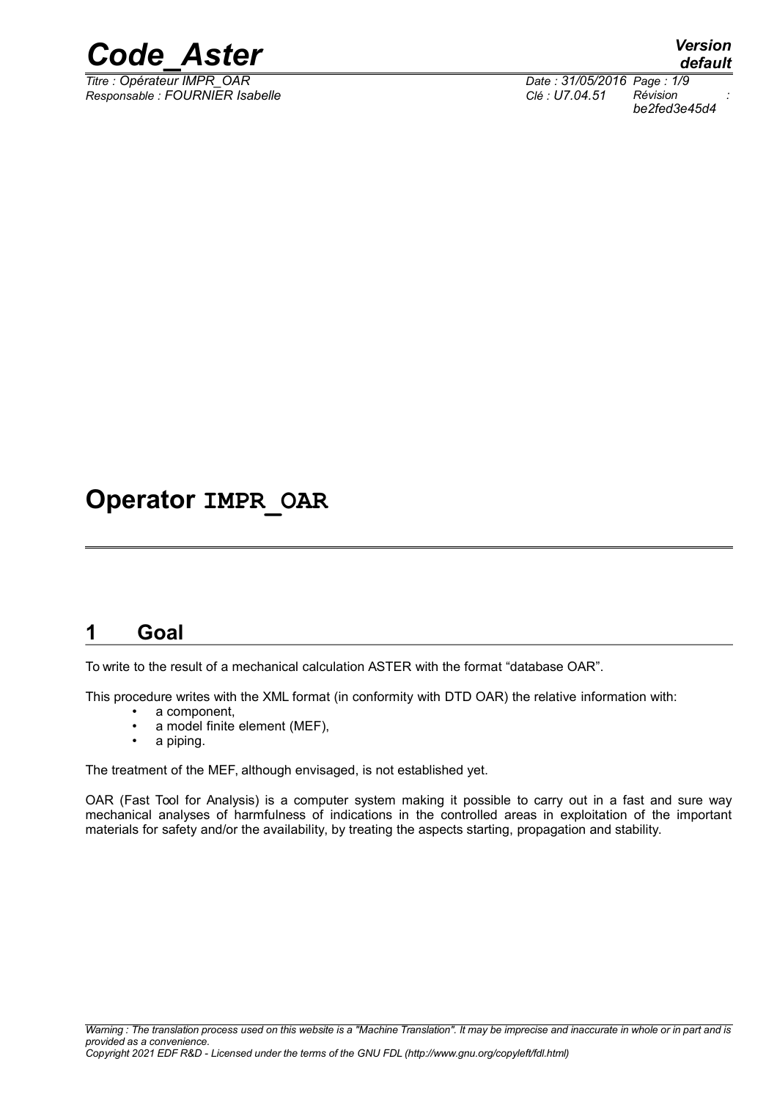

*Titre : Opérateur IMPR\_OAR Date : 31/05/2016 Page : 1/9 Responsable : FOURNIER Isabelle Clé : U7.04.51 Révision :*

*be2fed3e45d4*

## **Operator IMPR\_OAR**

### **1 Goal**

To write to the result of a mechanical calculation ASTER with the format "database OAR".

This procedure writes with the XML format (in conformity with DTD OAR) the relative information with:

- a component,
- a model finite element (MEF),
- a piping.

The treatment of the MEF, although envisaged, is not established yet.

OAR (Fast Tool for Analysis) is a computer system making it possible to carry out in a fast and sure way mechanical analyses of harmfulness of indications in the controlled areas in exploitation of the important materials for safety and/or the availability, by treating the aspects starting, propagation and stability.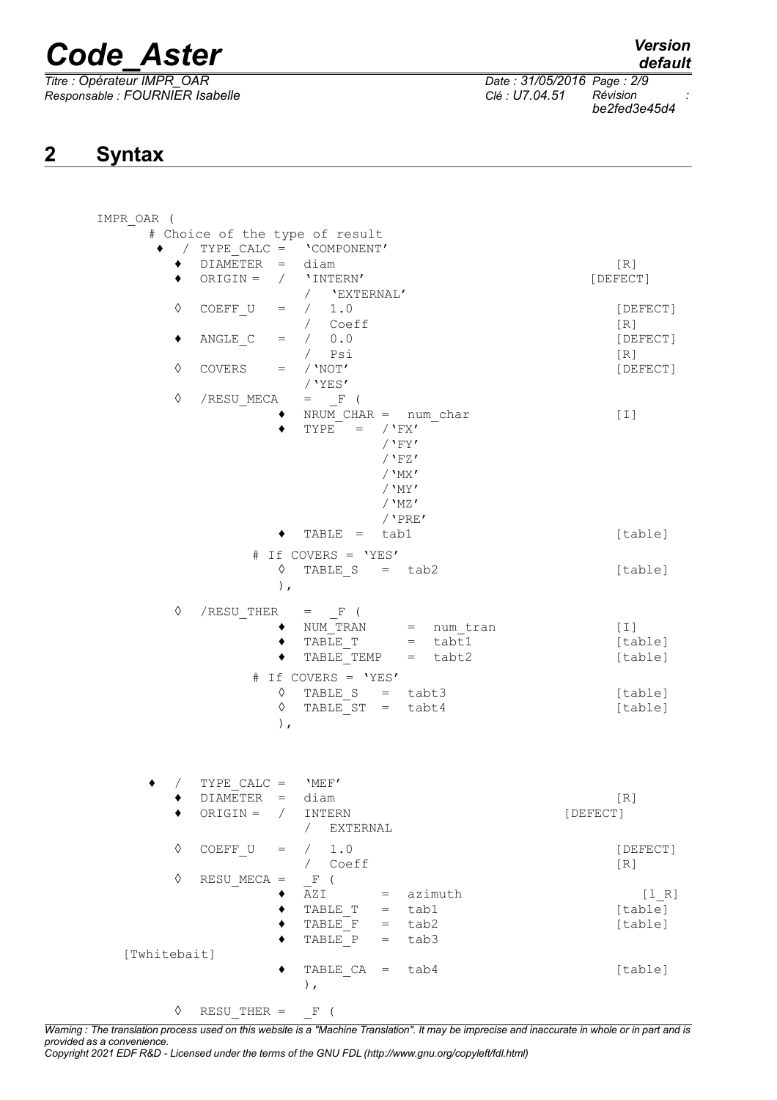*Titre : Opérateur IMPR\_OAR Date : 31/05/2016 Page : 2/9 Responsable : FOURNIER Isabelle Clé : U7.04.51 Révision :*

*be2fed3e45d4*

## **2 Syntax**

| IMPR OAR (   |            |                                |            |                                                             |          |                        |          |                 |
|--------------|------------|--------------------------------|------------|-------------------------------------------------------------|----------|------------------------|----------|-----------------|
|              |            | # Choice of the type of result |            |                                                             |          |                        |          |                 |
|              |            | ◆ / TYPE CALC = 'COMPONENT'    |            |                                                             |          |                        |          |                 |
|              | ٠          | $DIAMETER = diam$              |            |                                                             |          |                        |          | [R]             |
|              | ٠          | ORIGIN = $/$ 'INTERN'          |            |                                                             |          |                        |          | [DEFECT]        |
|              |            |                                |            | / 'EXTERNAL'                                                |          |                        |          |                 |
| ♦            |            | COEFF U                        | $=$        | / 1.0                                                       |          |                        |          | [DEFECT]        |
| ٠            |            |                                | $=$        | / Coeff<br>/ 0.0                                            |          |                        |          | [R]             |
|              |            | ANGLE C                        |            | / Psi                                                       |          |                        |          | [DEFECT]<br>[R] |
| $\Diamond$   |            | COVERS                         | $=$        | $/$ 'NOT'                                                   |          |                        |          | [DEFECT]        |
|              |            |                                |            | /'YES'                                                      |          |                        |          |                 |
| $\Diamond$   |            | /RESU MECA                     |            | $\hspace{.6cm} = \hspace{1.2cm} \mathbb{F} \hspace{.2cm} ($ |          |                        |          |                 |
|              |            |                                |            | NRUM $CHAR = num char$                                      |          |                        |          | $[1]$           |
|              |            |                                |            | TYPE = $/$ 'FX'                                             |          |                        |          |                 |
|              |            |                                |            |                                                             | $/$ 'FY' |                        |          |                 |
|              |            |                                |            |                                                             | $/$ 'FZ' |                        |          |                 |
|              |            |                                |            |                                                             | $/$ 'MX' |                        |          |                 |
|              |            |                                |            |                                                             | / 'MY'   |                        |          |                 |
|              |            |                                |            |                                                             | $/$ 'MZ' |                        |          |                 |
|              |            |                                |            |                                                             |          | $/$ 'PRE'              |          |                 |
|              |            |                                |            | $TABLE = tab1$                                              |          |                        |          | [table]         |
|              |            | #                              |            | If COVERS = 'YES'                                           |          |                        |          |                 |
|              |            |                                | ♦          | TABLE $S = tab2$                                            |          |                        |          | [table]         |
|              |            |                                | $\,$ ,     |                                                             |          |                        |          |                 |
|              |            |                                |            |                                                             |          |                        |          |                 |
| ♦            |            | /RESU THER                     |            | $=$ F (                                                     |          |                        |          |                 |
|              |            |                                |            | NUM TRAN                                                    |          | = num tran             |          | [1]             |
|              |            |                                |            | TABLE T                                                     |          | $=$ tabt1<br>$=$ tabt2 |          | [table]         |
|              |            |                                |            | TABLE TEMP                                                  |          |                        |          | [table]         |
|              |            |                                |            | # If COVERS = 'YES'                                         |          |                        |          |                 |
|              |            |                                | ♦          | TABLE $S = \text{tabt3}$                                    |          |                        |          | [table]         |
|              |            |                                | ♦          | TABLE ST = tabt4                                            |          |                        |          | [table]         |
|              |            |                                | ) $\prime$ |                                                             |          |                        |          |                 |
|              |            |                                |            |                                                             |          |                        |          |                 |
|              |            |                                |            |                                                             |          |                        |          |                 |
|              |            | TYPE CALC = $'MEF'$            |            |                                                             |          |                        |          |                 |
|              |            | DIAMETER = diam                |            |                                                             |          |                        |          | [R]             |
|              | ٠          | $ORIGIN = / INTERN$            |            |                                                             |          |                        | [DEFECT] |                 |
|              |            |                                |            | EXTERNAL<br>$\sqrt{2}$                                      |          |                        |          |                 |
|              |            |                                |            |                                                             |          |                        |          |                 |
|              | $\Diamond$ | $COEFF U =$                    |            | / 1.0                                                       |          |                        |          | [DEFECT]        |
| $\Diamond$   |            | $RESU$ MECA =                  |            | / Coeff<br>$F$ (                                            |          |                        |          | [R]             |
|              |            |                                |            | $AZI = azimuth$                                             |          |                        |          | [1 R]           |
|              |            |                                |            | TABLE T = tab1                                              |          |                        |          | [table]         |
|              |            |                                |            | TABLE $F = tab2$                                            |          |                        |          | [table]         |
|              |            |                                |            | TABLE $P = tab3$                                            |          |                        |          |                 |
| [Twhitebait] |            |                                |            |                                                             |          |                        |          |                 |
|              |            |                                |            | TABLE $CA = tab4$                                           |          |                        |          | [table]         |
|              |            |                                |            | $\,$ ,                                                      |          |                        |          |                 |
|              |            |                                |            |                                                             |          |                        |          |                 |
|              | ♦          | RESU THER = $F($               |            |                                                             |          |                        |          |                 |

*Warning : The translation process used on this website is a "Machine Translation". It may be imprecise and inaccurate in whole or in part and is provided as a convenience.*

*Copyright 2021 EDF R&D - Licensed under the terms of the GNU FDL (http://www.gnu.org/copyleft/fdl.html)*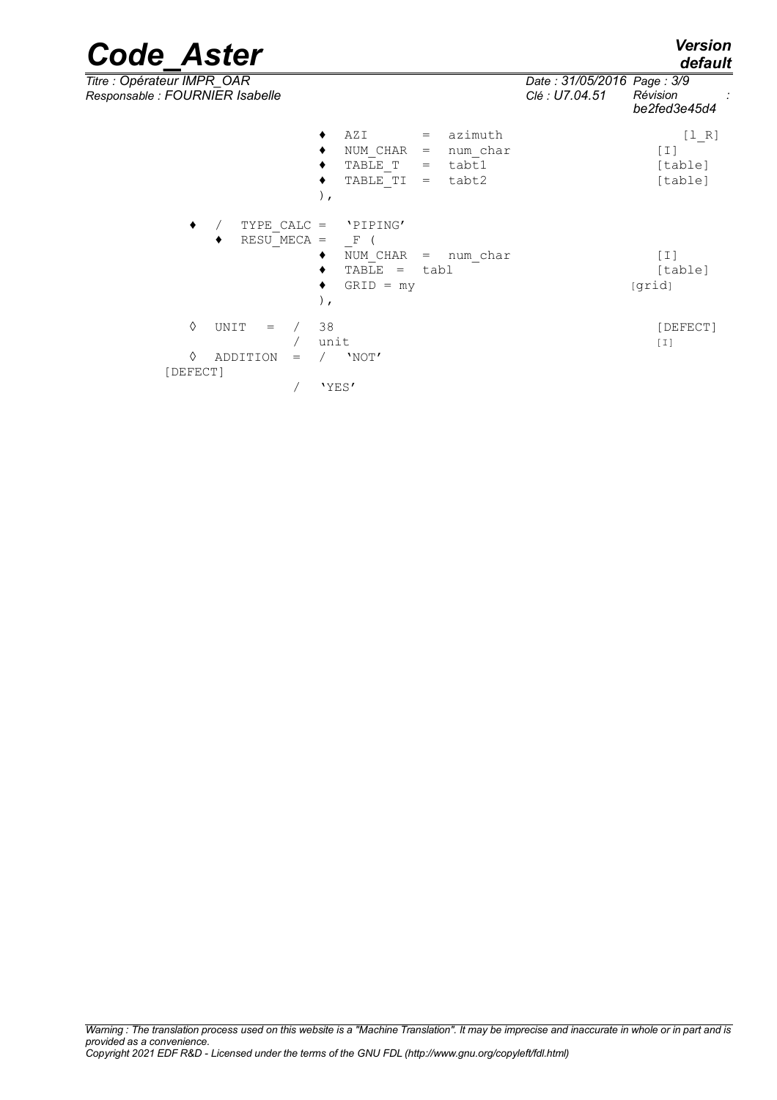| <b>Code Aster</b> | <b>Version</b><br>default |
|-------------------|---------------------------|
|-------------------|---------------------------|

*Responsable : FOURNIER Isabelle Clé : U7.04.51 Révision :*

*default*<br>*Date : 31/05/2016 Page : 3/9 Titre : Opérateur IMPR\_OAR Date : 31/05/2016 Page : 3/9 be2fed3e45d4*  $\triangle$  AZI = azimuth  $[1_R]$ ♦ NUM\_CHAR = num\_char [I]  $\bullet$  TABLE\_T = tabt1 [table]

|          |                                   |     | TABLE TI =<br>$\, \cdot \,$                    |     | tabt2            |        | [table]           |
|----------|-----------------------------------|-----|------------------------------------------------|-----|------------------|--------|-------------------|
| ٠        | TYPE CALC $=$<br>RESU MECA =<br>٠ |     | 'PIPING'<br>F<br>NUM CHAR<br>٠<br>TABLE<br>$=$ | $=$ | num char<br>tabl |        | $[1]$<br>[table]  |
|          |                                   |     | $GRID = my$<br>٠<br>$\, \cdot \,$              |     |                  | [grid] |                   |
| ♦        | UNIT<br>$=$                       |     | 38<br>unit                                     |     |                  |        | [DEFECT]<br>$[1]$ |
| ♦        | ADDITION                          | $=$ | 'NOT'                                          |     |                  |        |                   |
| [DEFECT] |                                   |     |                                                |     |                  |        |                   |
|          |                                   |     | 'YES'                                          |     |                  |        |                   |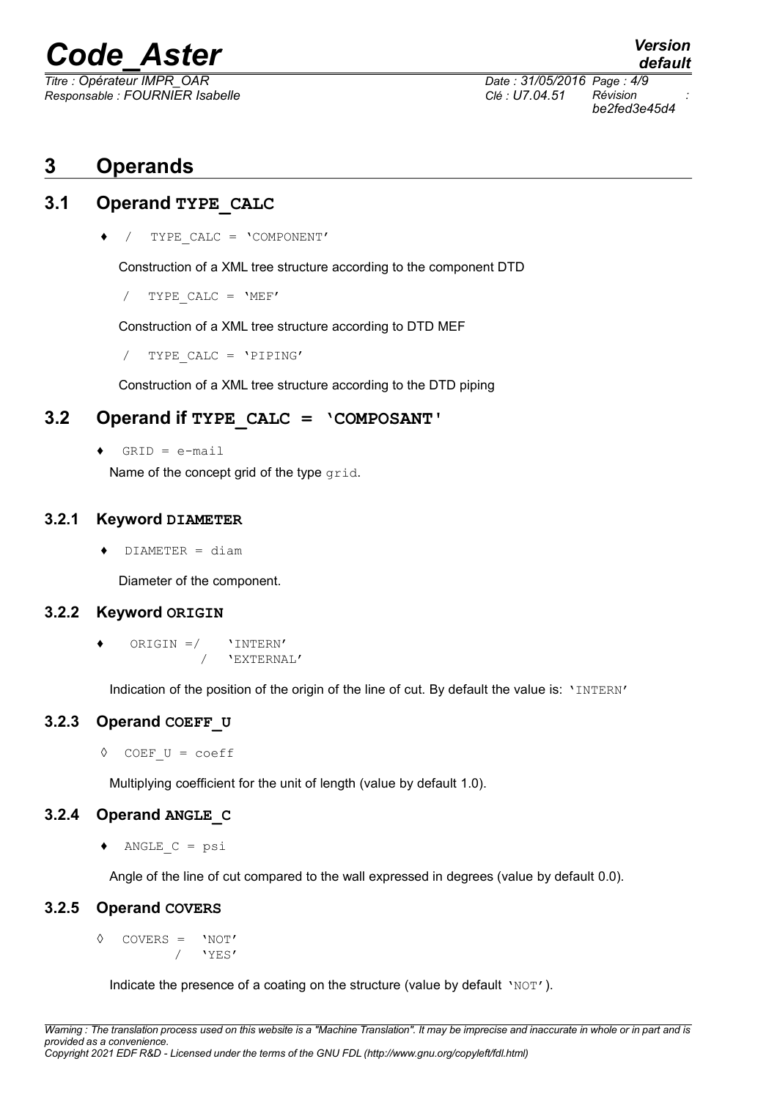*Responsable : FOURNIER Isabelle Clé : U7.04.51 Révision :*

*default Titre : Opérateur IMPR\_OAR Date : 31/05/2016 Page : 4/9 be2fed3e45d4*

### **3 Operands**

#### **3.1 Operand TYPE\_CALC**

♦ / TYPE\_CALC = 'COMPONENT'

Construction of a XML tree structure according to the component DTD

 $/$  TYPE CALC =  $'MEF'$ 

Construction of a XML tree structure according to DTD MEF

/ TYPE\_CALC = 'PIPING'

Construction of a XML tree structure according to the DTD piping

#### **3.2 Operand if TYPE\_CALC = 'COMPOSANT'**

 $GRID = e-mail$ 

Name of the concept grid of the type grid.

#### **3.2.1 Keyword DIAMETER**

♦ DIAMETER = diam

Diameter of the component.

#### **3.2.2 Keyword ORIGIN**

ORIGIN  $=$ / 'INTERN' / 'EXTERNAL'

Indication of the position of the origin of the line of cut. By default the value is: 'INTERN'

#### **3.2.3 Operand COEFF\_U**

◊ COEF\_U = coeff

Multiplying coefficient for the unit of length (value by default 1.0).

#### **3.2.4 Operand ANGLE\_C**

 $\triangleleft$  ANGLE C = psi

Angle of the line of cut compared to the wall expressed in degrees (value by default 0.0).

#### **3.2.5 Operand COVERS**

◊ COVERS = 'NOT' / 'YES'

Indicate the presence of a coating on the structure (value by default 'NOT').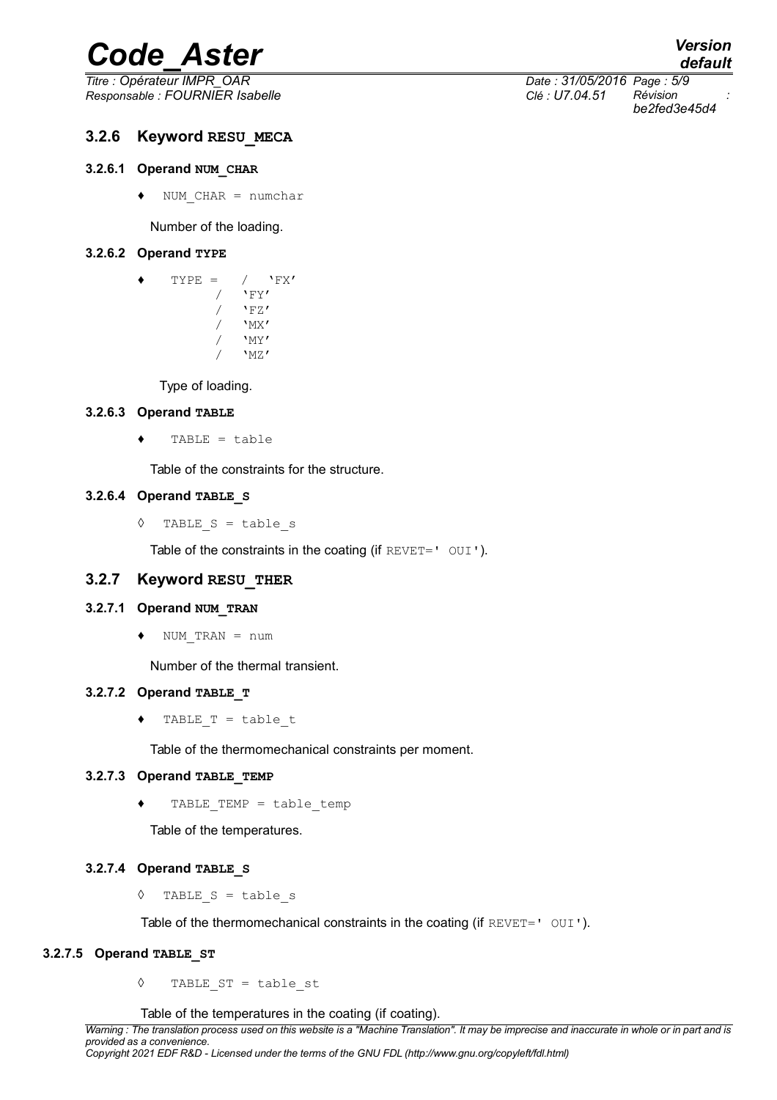*Titre : Opérateur IMPR\_OAR Date : 31/05/2016 Page : 5/9 Responsable : FOURNIER Isabelle Clé : U7.04.51 Révision :*

## *default be2fed3e45d4*

#### **3.2.6 Keyword RESU\_MECA**

#### **3.2.6.1 Operand NUM\_CHAR**

 $\bullet$  NUM CHAR = numchar

Number of the loading.

#### **3.2.6.2 Operand TYPE**

| TYPE<br>$=$ | "FX'          |
|-------------|---------------|
|             | 'FY'          |
|             | 'FA'          |
|             | $'_{\rm MX}$  |
|             | $'_{\rm MY'}$ |
|             | MZ'           |

Type of loading.

#### **3.2.6.3 Operand TABLE**

 $\triangleleft$  TABLE = table

Table of the constraints for the structure.

#### **3.2.6.4 Operand TABLE\_S**

◊ TABLE\_S = table\_s

Table of the constraints in the coating (if REVET=' OUI').

#### **3.2.7 Keyword RESU\_THER**

#### **3.2.7.1 Operand NUM\_TRAN**

 $\triangleleft$  NUM TRAN = num

Number of the thermal transient.

#### **3.2.7.2 Operand TABLE\_T**

♦ TABLE\_T = table\_t

Table of the thermomechanical constraints per moment.

#### **3.2.7.3 Operand TABLE\_TEMP**

TABLE TEMP = table temp

Table of the temperatures.

#### **3.2.7.4 Operand TABLE\_S**

◊ TABLE\_S = table\_s

Table of the thermomechanical constraints in the coating (if  $REVET = ' 0UI')$ .

#### **3.2.7.5 Operand TABLE\_ST**

◊ TABLE\_ST = table\_st

Table of the temperatures in the coating (if coating).

*Warning : The translation process used on this website is a "Machine Translation". It may be imprecise and inaccurate in whole or in part and is provided as a convenience.*

*Copyright 2021 EDF R&D - Licensed under the terms of the GNU FDL (http://www.gnu.org/copyleft/fdl.html)*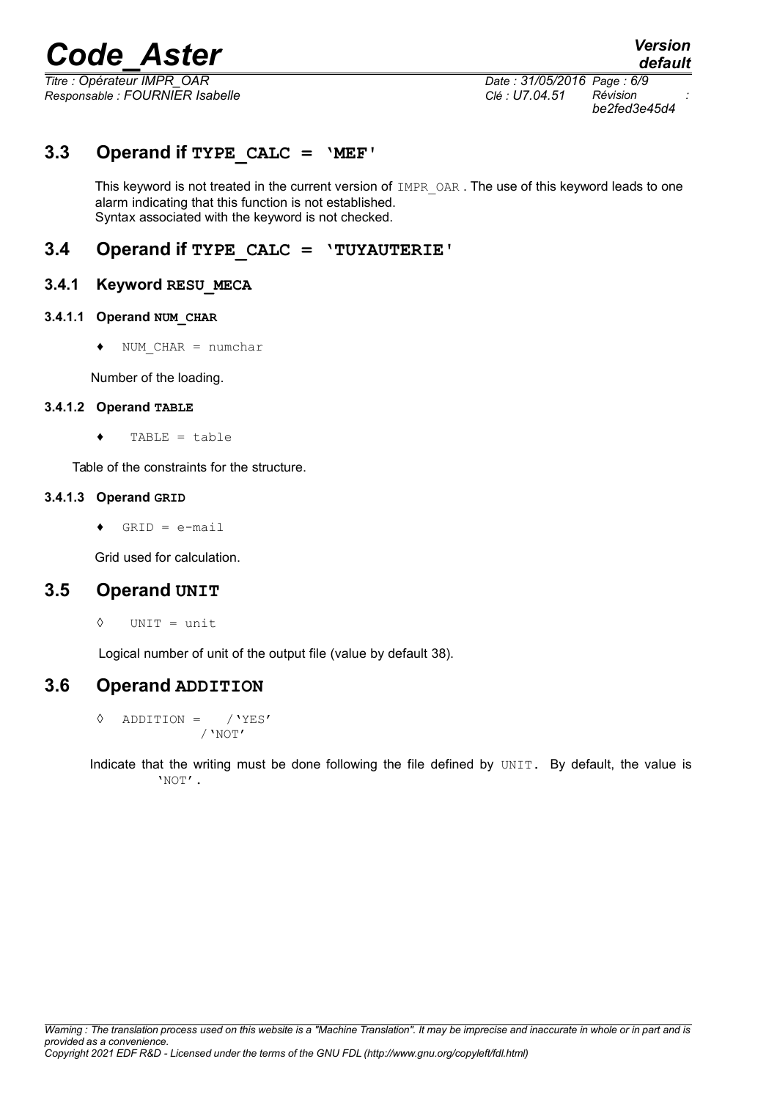*Titre : Opérateur IMPR\_OAR Date : 31/05/2016 Page : 6/9 Responsable : FOURNIER Isabelle Clé : U7.04.51 Révision :*

*be2fed3e45d4*

#### **3.3 Operand if TYPE\_CALC = 'MEF'**

This keyword is not treated in the current version of IMPR OAR. The use of this keyword leads to one alarm indicating that this function is not established. Syntax associated with the keyword is not checked.

#### **3.4 Operand if TYPE\_CALC = 'TUYAUTERIE'**

#### **3.4.1 Keyword RESU\_MECA**

#### **3.4.1.1 Operand NUM\_CHAR**

♦ NUM\_CHAR = numchar

Number of the loading.

#### **3.4.1.2 Operand TABLE**

♦ TABLE = table

Table of the constraints for the structure.

#### **3.4.1.3 Operand GRID**

 $\triangleleft$  GRID = e-mail

Grid used for calculation.

#### **3.5 Operand UNIT**

◊ UNIT = unit

Logical number of unit of the output file (value by default 38).

#### **3.6 Operand ADDITION**

◊ ADDITION = /'YES' /'NOT'

Indicate that the writing must be done following the file defined by UNIT. By default, the value is 'NOT'.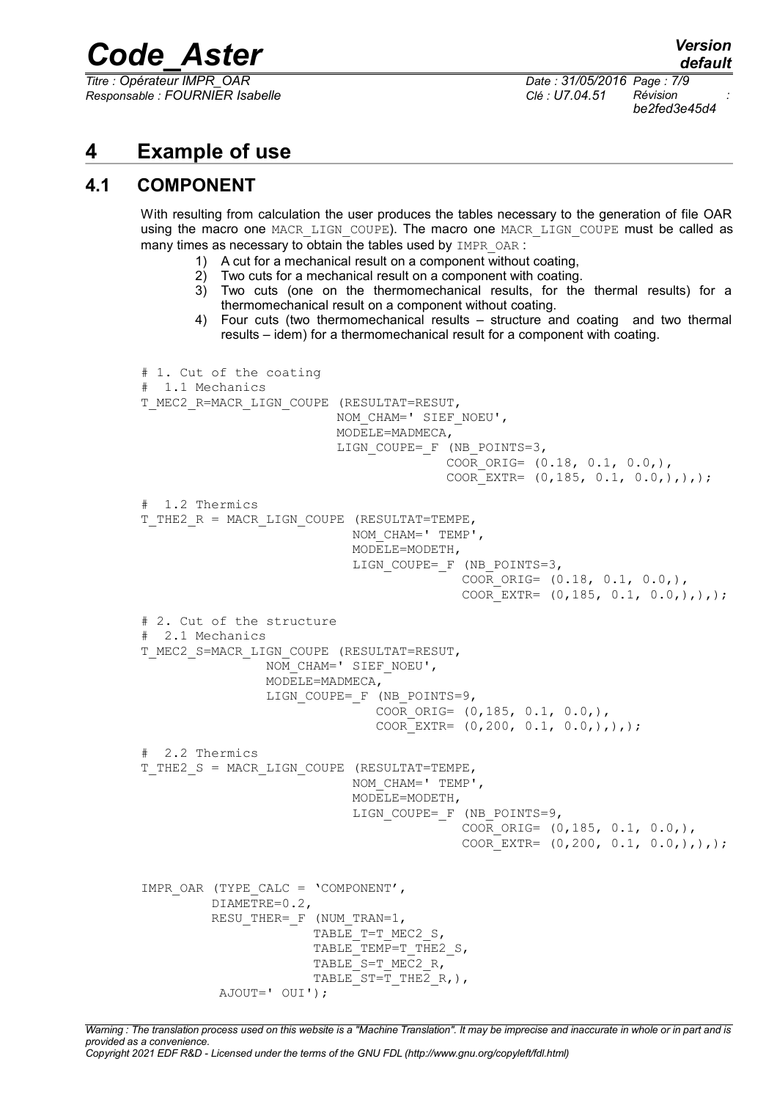*Titre : Opérateur IMPR\_OAR Date : 31/05/2016 Page : 7/9 Responsable : FOURNIER Isabelle Clé : U7.04.51 Révision :*

*be2fed3e45d4*

### **4 Example of use**

#### **4.1 COMPONENT**

With resulting from calculation the user produces the tables necessary to the generation of file OAR using the macro one MACR LIGN COUPE). The macro one MACR LIGN COUPE must be called as many times as necessary to obtain the tables used by IMPR OAR :

- 1) A cut for a mechanical result on a component without coating,
- 2) Two cuts for a mechanical result on a component with coating.
- 3) Two cuts (one on the thermomechanical results, for the thermal results) for a thermomechanical result on a component without coating.
- 4) Four cuts (two thermomechanical results structure and coating and two thermal results – idem) for a thermomechanical result for a component with coating.

```
# 1. Cut of the coating
  1.1 Mechanics
T_MEC2_R=MACR_LIGN_COUPE (RESULTAT=RESUT,
                          NOM_CHAM=' SIEF_NOEU',
                          MODELE=MADMECA,
                         LIGN COUPE= F (NB POINTS=3,
                                        COOR ORIG= (0.18, 0.1, 0.0,),COOR EXTR= (0,185, 0.1, 0.0,),),;
# 1.2 Thermics
T_THE2_R = MACR_LIGN_COUPE (RESULTAT=TEMPE,
                            NOM_CHAM=' TEMP',
                            MODELE=MODETH,
                            LIGN_COUPE=_F (NB_POINTS=3,
                                          COOR ORIG= (0.18, 0.1, 0.0,),COOR EXTR= (0,185, 0.1, 0.0,),),# 2. Cut of the structure
 2.1 Mechanics
T_MEC2_S=MACR_LIGN_COUPE (RESULTAT=RESUT,
                NOM CHAM=' SIEF NOEU',
                 MODELE=MADMECA,
                LIGN_COUPE=_F (NB_POINTS=9,
                               COOR ORIG= (0,185, 0.1, 0.0,),COOR EXTR= (0,200, 0.1, 0.0,),),;
# 2.2 Thermics
T_THE2_S = MACR_LIGN_COUPE (RESULTAT=TEMPE,
                           NOM CHAM=' TEMP',
                            MODELE=MODETH,
                            LIGN_COUPE=_F (NB_POINTS=9,
                                          COOR ORIG = (0,185, 0.1, 0.0,),COOR EXTR= (0, 200, 0.1, 0.0,),),IMPR_OAR (TYPE_CALC = 'COMPONENT',
          DIAMETRE=0.2,
         RESU THER= F (NUM TRAN=1,
                      TABLE T=T MEC2 S,
                      TABLE<sup>TEMP=T</sup>THE2 S,
                      TABLE S=T MEC2 R,
                      TABLE ST=T THE2 R, ),
           AJOUT=' OUI');
```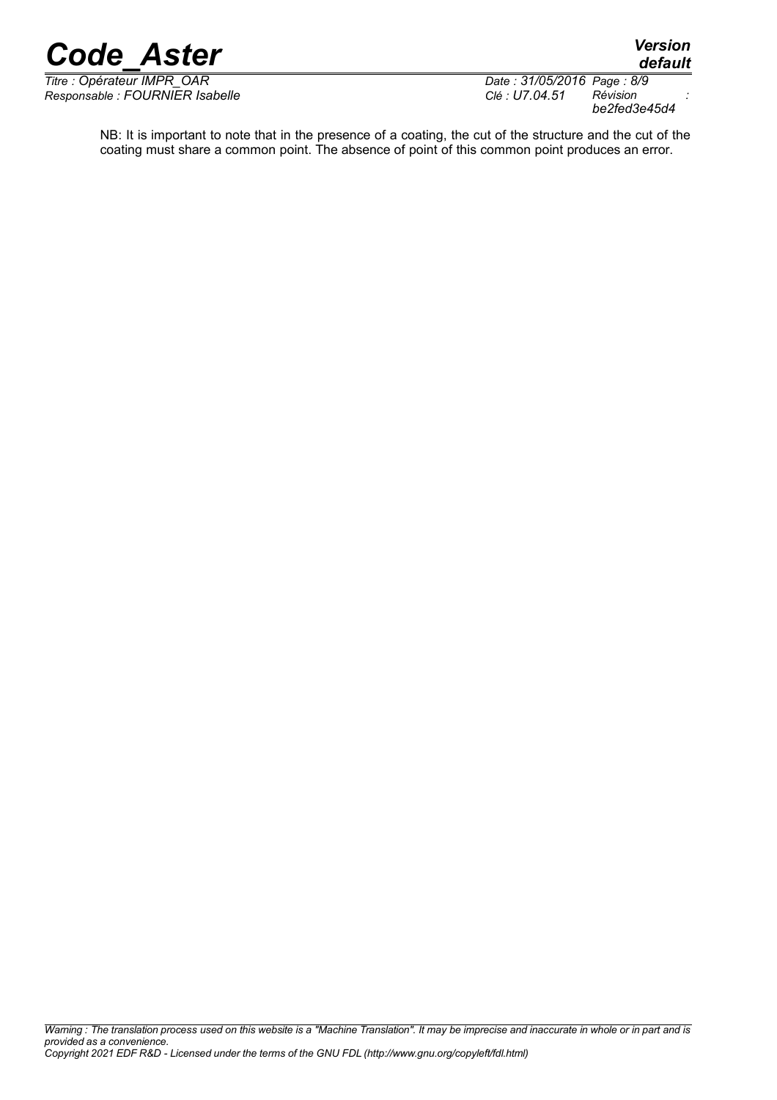*Titre : Opérateur IMPR\_OAR Date : 31/05/2016 Page : 8/9 Responsable : FOURNIER Isabelle Clé : U7.04.51 Révision :*

*Copyright 2021 EDF R&D - Licensed under the terms of the GNU FDL (http://www.gnu.org/copyleft/fdl.html)*

*be2fed3e45d4*

NB: It is important to note that in the presence of a coating, the cut of the structure and the cut of the coating must share a common point. The absence of point of this common point produces an error.